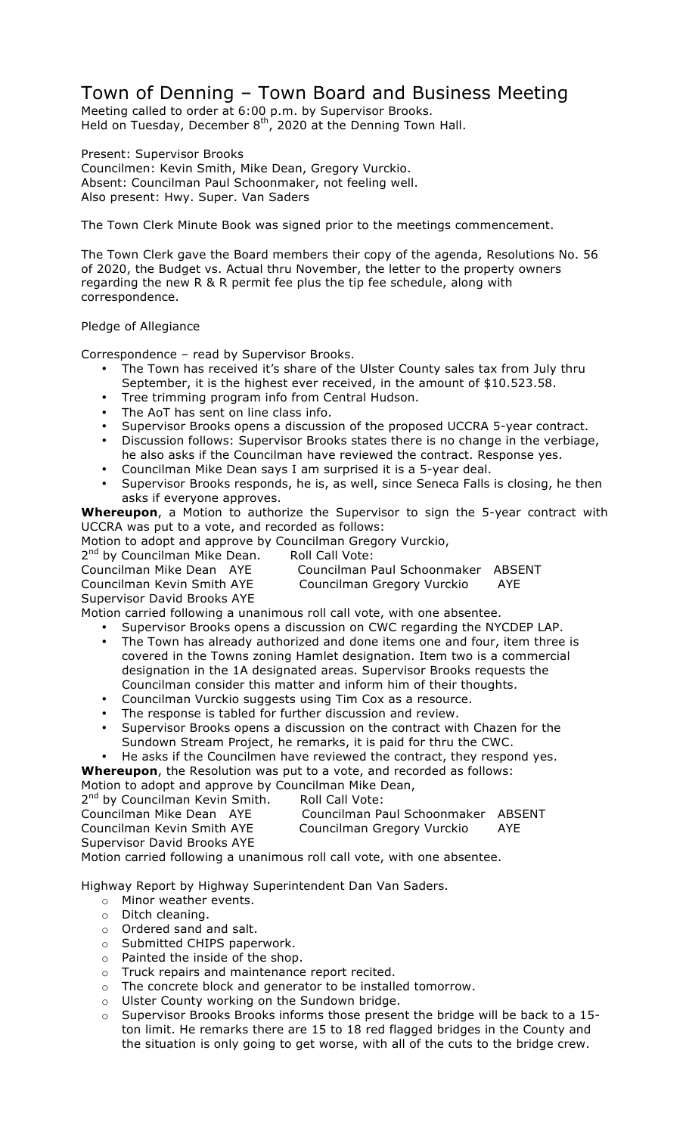## Town of Denning – Town Board and Business Meeting

Meeting called to order at 6:00 p.m. by Supervisor Brooks. Held on Tuesday, December  $8<sup>th</sup>$ , 2020 at the Denning Town Hall.

Present: Supervisor Brooks Councilmen: Kevin Smith, Mike Dean, Gregory Vurckio. Absent: Councilman Paul Schoonmaker, not feeling well. Also present: Hwy. Super. Van Saders

The Town Clerk Minute Book was signed prior to the meetings commencement.

The Town Clerk gave the Board members their copy of the agenda, Resolutions No. 56 of 2020, the Budget vs. Actual thru November, the letter to the property owners regarding the new R & R permit fee plus the tip fee schedule, along with correspondence.

## Pledge of Allegiance

Correspondence – read by Supervisor Brooks.

- The Town has received it's share of the Ulster County sales tax from July thru September, it is the highest ever received, in the amount of \$10.523.58.
- Tree trimming program info from Central Hudson.
- The AoT has sent on line class info.
- Supervisor Brooks opens a discussion of the proposed UCCRA 5-year contract.
- Discussion follows: Supervisor Brooks states there is no change in the verbiage, he also asks if the Councilman have reviewed the contract. Response yes.
- Councilman Mike Dean says I am surprised it is a 5-year deal.
- Supervisor Brooks responds, he is, as well, since Seneca Falls is closing, he then asks if everyone approves.

**Whereupon**, a Motion to authorize the Supervisor to sign the 5-year contract with UCCRA was put to a vote, and recorded as follows:

Motion to adopt and approve by Councilman Gregory Vurckio,

2<sup>nd</sup> by Councilman Mike Dean. Roll Call Vote:

Councilman Kevin Smith AYE Councilman Gregory Vurckio AYE

Councilman Mike Dean AYE Councilman Paul Schoonmaker ABSENT

Supervisor David Brooks AYE

Motion carried following a unanimous roll call vote, with one absentee.

- Supervisor Brooks opens a discussion on CWC regarding the NYCDEP LAP. The Town has already authorized and done items one and four, item three is covered in the Towns zoning Hamlet designation. Item two is a commercial
- designation in the 1A designated areas. Supervisor Brooks requests the Councilman consider this matter and inform him of their thoughts.
- Councilman Vurckio suggests using Tim Cox as a resource.
- The response is tabled for further discussion and review.
- Supervisor Brooks opens a discussion on the contract with Chazen for the Sundown Stream Project, he remarks, it is paid for thru the CWC.
- He asks if the Councilmen have reviewed the contract, they respond yes.

**Whereupon**, the Resolution was put to a vote, and recorded as follows:

Motion to adopt and approve by Councilman Mike Dean,

2<sup>nd</sup> by Councilman Kevin Smith. Roll Call Vote: Councilman Mike Dean AYE Councilman Paul Schoonmaker ABSENT Councilman Kevin Smith AYE Councilman Gregory Vurckio AYE Supervisor David Brooks AYE Motion carried following a unanimous roll call vote, with one absentee.

Highway Report by Highway Superintendent Dan Van Saders.

- o Minor weather events.
- o Ditch cleaning.
- o Ordered sand and salt.
- o Submitted CHIPS paperwork.
- o Painted the inside of the shop.
- o Truck repairs and maintenance report recited.
- o The concrete block and generator to be installed tomorrow.
- o Ulster County working on the Sundown bridge.
- o Supervisor Brooks Brooks informs those present the bridge will be back to a 15 ton limit. He remarks there are 15 to 18 red flagged bridges in the County and the situation is only going to get worse, with all of the cuts to the bridge crew.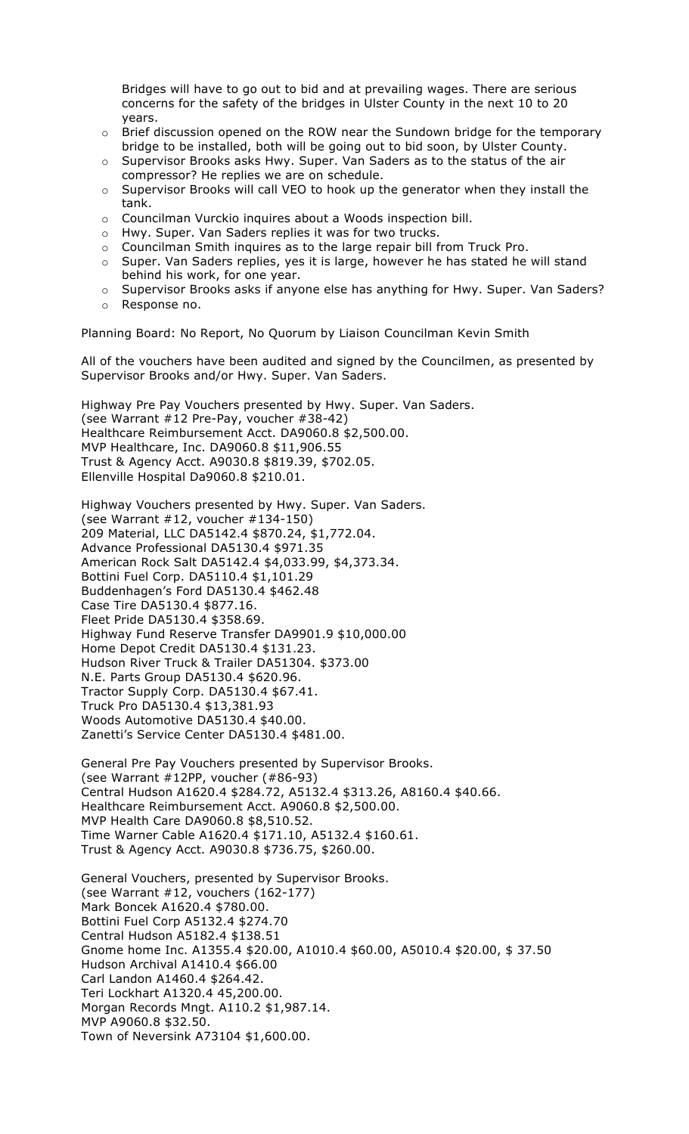Bridges will have to go out to bid and at prevailing wages. There are serious concerns for the safety of the bridges in Ulster County in the next 10 to 20 years.

- $\circ$  Brief discussion opened on the ROW near the Sundown bridge for the temporary bridge to be installed, both will be going out to bid soon, by Ulster County.
- o Supervisor Brooks asks Hwy. Super. Van Saders as to the status of the air compressor? He replies we are on schedule.
- o Supervisor Brooks will call VEO to hook up the generator when they install the tank.
- o Councilman Vurckio inquires about a Woods inspection bill.
- o Hwy. Super. Van Saders replies it was for two trucks.
- o Councilman Smith inquires as to the large repair bill from Truck Pro.
- $\circ$  Super. Van Saders replies, yes it is large, however he has stated he will stand behind his work, for one year.
- $\circ$  Supervisor Brooks asks if anyone else has anything for Hwy. Super. Van Saders?
- o Response no.

Planning Board: No Report, No Quorum by Liaison Councilman Kevin Smith

All of the vouchers have been audited and signed by the Councilmen, as presented by Supervisor Brooks and/or Hwy. Super. Van Saders.

Highway Pre Pay Vouchers presented by Hwy. Super. Van Saders. (see Warrant #12 Pre-Pay, voucher #38-42) Healthcare Reimbursement Acct. DA9060.8 \$2,500.00. MVP Healthcare, Inc. DA9060.8 \$11,906.55 Trust & Agency Acct. A9030.8 \$819.39, \$702.05. Ellenville Hospital Da9060.8 \$210.01.

Highway Vouchers presented by Hwy. Super. Van Saders. (see Warrant #12, voucher #134-150) 209 Material, LLC DA5142.4 \$870.24, \$1,772.04. Advance Professional DA5130.4 \$971.35 American Rock Salt DA5142.4 \$4,033.99, \$4,373.34. Bottini Fuel Corp. DA5110.4 \$1,101.29 Buddenhagen's Ford DA5130.4 \$462.48 Case Tire DA5130.4 \$877.16. Fleet Pride DA5130.4 \$358.69. Highway Fund Reserve Transfer DA9901.9 \$10,000.00 Home Depot Credit DA5130.4 \$131.23. Hudson River Truck & Trailer DA51304. \$373.00 N.E. Parts Group DA5130.4 \$620.96. Tractor Supply Corp. DA5130.4 \$67.41. Truck Pro DA5130.4 \$13,381.93 Woods Automotive DA5130.4 \$40.00. Zanetti's Service Center DA5130.4 \$481.00.

General Pre Pay Vouchers presented by Supervisor Brooks. (see Warrant #12PP, voucher (#86-93) Central Hudson A1620.4 \$284.72, A5132.4 \$313.26, A8160.4 \$40.66. Healthcare Reimbursement Acct. A9060.8 \$2,500.00. MVP Health Care DA9060.8 \$8,510.52. Time Warner Cable A1620.4 \$171.10, A5132.4 \$160.61. Trust & Agency Acct. A9030.8 \$736.75, \$260.00.

General Vouchers, presented by Supervisor Brooks. (see Warrant #12, vouchers (162-177) Mark Boncek A1620.4 \$780.00. Bottini Fuel Corp A5132.4 \$274.70 Central Hudson A5182.4 \$138.51 Gnome home Inc. A1355.4 \$20.00, A1010.4 \$60.00, A5010.4 \$20.00, \$ 37.50 Hudson Archival A1410.4 \$66.00 Carl Landon A1460.4 \$264.42. Teri Lockhart A1320.4 45,200.00. Morgan Records Mngt. A110.2 \$1,987.14. MVP A9060.8 \$32.50. Town of Neversink A73104 \$1,600.00.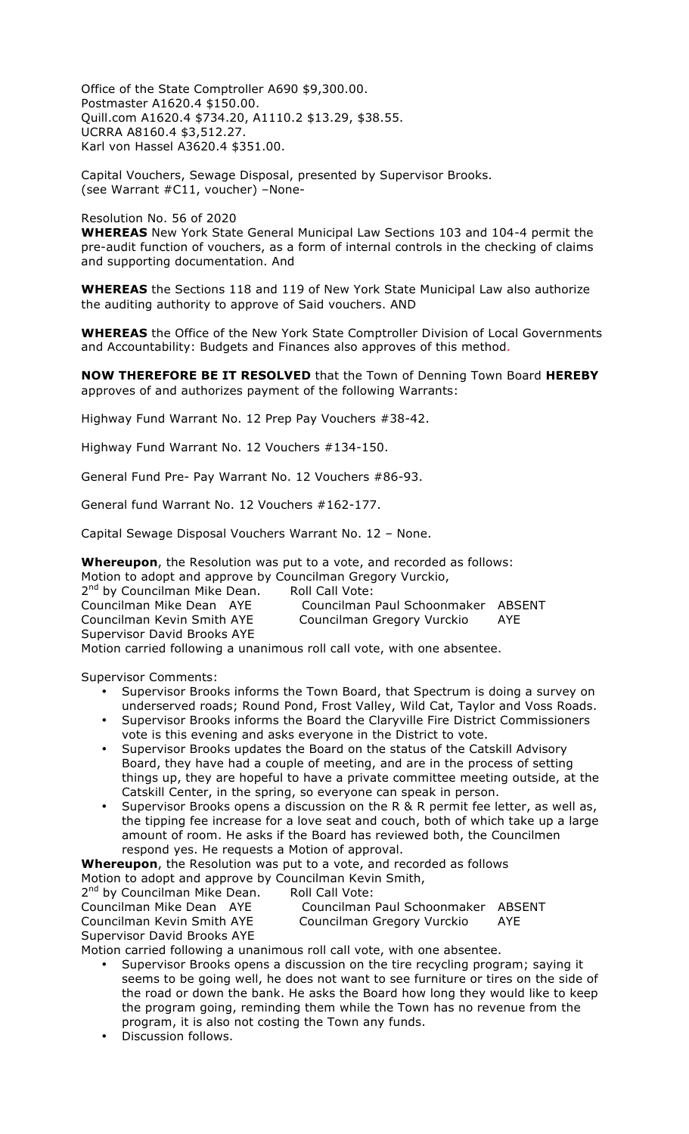Office of the State Comptroller A690 \$9,300.00. Postmaster A1620.4 \$150.00. Quill.com A1620.4 \$734.20, A1110.2 \$13.29, \$38.55. UCRRA A8160.4 \$3,512.27. Karl von Hassel A3620.4 \$351.00.

Capital Vouchers, Sewage Disposal, presented by Supervisor Brooks. (see Warrant #C11, voucher) –None-

## Resolution No. 56 of 2020

**WHEREAS** New York State General Municipal Law Sections 103 and 104-4 permit the pre-audit function of vouchers, as a form of internal controls in the checking of claims and supporting documentation. And

**WHEREAS** the Sections 118 and 119 of New York State Municipal Law also authorize the auditing authority to approve of Said vouchers. AND

**WHEREAS** the Office of the New York State Comptroller Division of Local Governments and Accountability: Budgets and Finances also approves of this method.

**NOW THEREFORE BE IT RESOLVED** that the Town of Denning Town Board **HEREBY** approves of and authorizes payment of the following Warrants:

Highway Fund Warrant No. 12 Prep Pay Vouchers #38-42.

Highway Fund Warrant No. 12 Vouchers #134-150.

General Fund Pre- Pay Warrant No. 12 Vouchers #86-93.

General fund Warrant No. 12 Vouchers #162-177.

Capital Sewage Disposal Vouchers Warrant No. 12 – None.

**Whereupon**, the Resolution was put to a vote, and recorded as follows:

Motion to adopt and approve by Councilman Gregory Vurckio,

2<sup>nd</sup> by Councilman Mike Dean. Roll Call Vote:<br>Councilman Mike Dean AYE Councilman

Supervisor David Brooks AYE

Councilman Paul Schoonmaker ABSENT Councilman Kevin Smith AYE Councilman Gregory Vurckio AYE

Motion carried following a unanimous roll call vote, with one absentee.

Supervisor Comments:

- Supervisor Brooks informs the Town Board, that Spectrum is doing a survey on underserved roads; Round Pond, Frost Valley, Wild Cat, Taylor and Voss Roads.
- Supervisor Brooks informs the Board the Claryville Fire District Commissioners vote is this evening and asks everyone in the District to vote.
- Supervisor Brooks updates the Board on the status of the Catskill Advisory Board, they have had a couple of meeting, and are in the process of setting things up, they are hopeful to have a private committee meeting outside, at the Catskill Center, in the spring, so everyone can speak in person.
- Supervisor Brooks opens a discussion on the R & R permit fee letter, as well as, the tipping fee increase for a love seat and couch, both of which take up a large amount of room. He asks if the Board has reviewed both, the Councilmen respond yes. He requests a Motion of approval.

**Whereupon**, the Resolution was put to a vote, and recorded as follows Motion to adopt and approve by Councilman Kevin Smith,

2<sup>nd</sup> by Councilman Mike Dean. Roll Call Vote: Councilman Mike Dean AYE Councilman Paul Schoonmaker ABSENT Councilman Kevin Smith AYE Councilman Gregory Vurckio AYE

Supervisor David Brooks AYE

Motion carried following a unanimous roll call vote, with one absentee.

- Supervisor Brooks opens a discussion on the tire recycling program; saying it seems to be going well, he does not want to see furniture or tires on the side of the road or down the bank. He asks the Board how long they would like to keep the program going, reminding them while the Town has no revenue from the program, it is also not costing the Town any funds.
- Discussion follows.